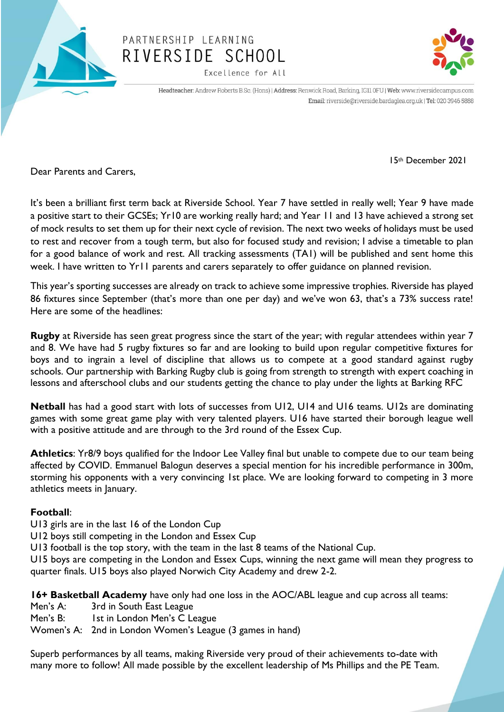

## PARTNERSHIP LEARNING RIVERSIDE SCHOOL

Excellence for All



Headteacher: Andrew Roberts B.Sc. (Hons) | Address: Renwick Road, Barking, IG11 0FU | Web: www.riversidecampus.com Email: riverside@riverside.bardaglea.org.uk | Tel: 020 3946 5888

Dear Parents and Carers,

It's been a brilliant first term back at Riverside School. Year 7 have settled in really well; Year 9 have made a positive start to their GCSEs; Yr10 are working really hard; and Year 11 and 13 have achieved a strong set of mock results to set them up for their next cycle of revision. The next two weeks of holidays must be used to rest and recover from a tough term, but also for focused study and revision; I advise a timetable to plan for a good balance of work and rest. All tracking assessments (TA1) will be published and sent home this week. I have written to Yr11 parents and carers separately to offer guidance on planned revision.

This year's sporting successes are already on track to achieve some impressive trophies. Riverside has played 86 fixtures since September (that's more than one per day) and we've won 63, that's a 73% success rate! Here are some of the headlines:

**Rugby** at Riverside has seen great progress since the start of the year; with regular attendees within year 7 and 8. We have had 5 rugby fixtures so far and are looking to build upon regular competitive fixtures for boys and to ingrain a level of discipline that allows us to compete at a good standard against rugby schools. Our partnership with Barking Rugby club is going from strength to strength with expert coaching in lessons and afterschool clubs and our students getting the chance to play under the lights at Barking RFC

**Netball** has had a good start with lots of successes from U12, U14 and U16 teams. U12s are dominating games with some great game play with very talented players. U16 have started their borough league well with a positive attitude and are through to the 3rd round of the Essex Cup.

**Athletics**: Yr8/9 boys qualified for the Indoor Lee Valley final but unable to compete due to our team being affected by COVID. Emmanuel Balogun deserves a special mention for his incredible performance in 300m, storming his opponents with a very convincing 1st place. We are looking forward to competing in 3 more athletics meets in January.

## **Football**:

- U13 girls are in the last 16 of the London Cup
- U12 boys still competing in the London and Essex Cup
- U13 football is the top story, with the team in the last 8 teams of the National Cup.

U15 boys are competing in the London and Essex Cups, winning the next game will mean they progress to quarter finals. U15 boys also played Norwich City Academy and drew 2-2.

**16+ Basketball Academy** have only had one loss in the AOC/ABL league and cup across all teams:

- Men's A: 3rd in South East League
- Men's B: Ist in London Men's C League

Women's A: 2nd in London Women's League (3 games in hand)

Superb performances by all teams, making Riverside very proud of their achievements to-date with many more to follow! All made possible by the excellent leadership of Ms Phillips and the PE Team.

15th December 2021